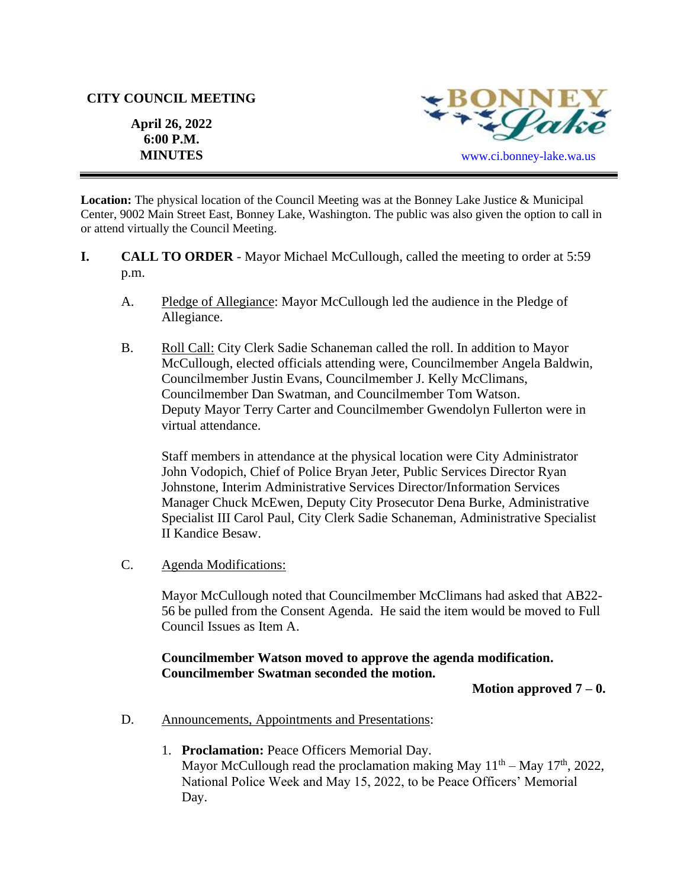#### **CITY COUNCIL MEETING**

**April 26, 2022 6:00 P.M.** 



**Location:** The physical location of the Council Meeting was at the Bonney Lake Justice & Municipal Center, 9002 Main Street East, Bonney Lake, Washington. The public was also given the option to call in or attend virtually the Council Meeting.

- **I. CALL TO ORDER**  Mayor Michael McCullough, called the meeting to order at 5:59 p.m.
	- A. Pledge of Allegiance: Mayor McCullough led the audience in the Pledge of Allegiance.
	- B. Roll Call: City Clerk Sadie Schaneman called the roll. In addition to Mayor McCullough, elected officials attending were, Councilmember Angela Baldwin, Councilmember Justin Evans, Councilmember J. Kelly McClimans, Councilmember Dan Swatman, and Councilmember Tom Watson. Deputy Mayor Terry Carter and Councilmember Gwendolyn Fullerton were in virtual attendance.

Staff members in attendance at the physical location were City Administrator John Vodopich, Chief of Police Bryan Jeter, Public Services Director Ryan Johnstone, Interim Administrative Services Director/Information Services Manager Chuck McEwen, Deputy City Prosecutor Dena Burke, Administrative Specialist III Carol Paul, City Clerk Sadie Schaneman, Administrative Specialist II Kandice Besaw.

C. Agenda Modifications:

Mayor McCullough noted that Councilmember McClimans had asked that AB22- 56 be pulled from the Consent Agenda. He said the item would be moved to Full Council Issues as Item A.

### **Councilmember Watson moved to approve the agenda modification. Councilmember Swatman seconded the motion.**

**Motion approved 7 – 0.**

- D. Announcements, Appointments and Presentations:
	- 1. **Proclamation:** Peace Officers Memorial Day. Mayor McCullough read the proclamation making May  $11<sup>th</sup> -$  May  $17<sup>th</sup>$ , 2022, National Police Week and May 15, 2022, to be Peace Officers' Memorial Day.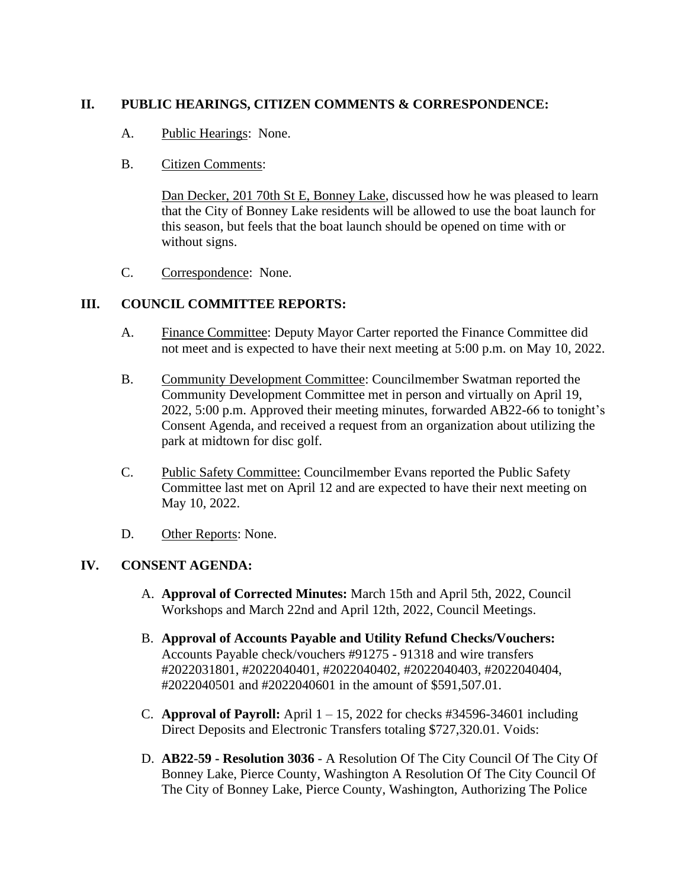# **II. PUBLIC HEARINGS, CITIZEN COMMENTS & CORRESPONDENCE:**

A. Public Hearings: None.

## B. Citizen Comments:

Dan Decker, 201 70th St E, Bonney Lake, discussed how he was pleased to learn that the City of Bonney Lake residents will be allowed to use the boat launch for this season, but feels that the boat launch should be opened on time with or without signs.

C. Correspondence: None.

# **III. COUNCIL COMMITTEE REPORTS:**

- A. Finance Committee: Deputy Mayor Carter reported the Finance Committee did not meet and is expected to have their next meeting at 5:00 p.m. on May 10, 2022.
- B. Community Development Committee: Councilmember Swatman reported the Community Development Committee met in person and virtually on April 19, 2022, 5:00 p.m. Approved their meeting minutes, forwarded AB22-66 to tonight's Consent Agenda, and received a request from an organization about utilizing the park at midtown for disc golf.
- C. Public Safety Committee: Councilmember Evans reported the Public Safety Committee last met on April 12 and are expected to have their next meeting on May 10, 2022.
- D. Other Reports: None.

# **IV. CONSENT AGENDA:**

- A. **Approval of Corrected Minutes:** March 15th and April 5th, 2022, Council Workshops and March 22nd and April 12th, 2022, Council Meetings.
- B. **Approval of Accounts Payable and Utility Refund Checks/Vouchers:**  Accounts Payable check/vouchers #91275 - 91318 and wire transfers #2022031801, #2022040401, #2022040402, #2022040403, #2022040404, #2022040501 and #2022040601 in the amount of \$591,507.01.
- C. **Approval of Payroll:** April  $1 15$ , 2022 for checks #34596-34601 including Direct Deposits and Electronic Transfers totaling \$727,320.01. Voids:
- D. **AB22**-**59 - Resolution 3036** A Resolution Of The City Council Of The City Of Bonney Lake, Pierce County, Washington A Resolution Of The City Council Of The City of Bonney Lake, Pierce County, Washington, Authorizing The Police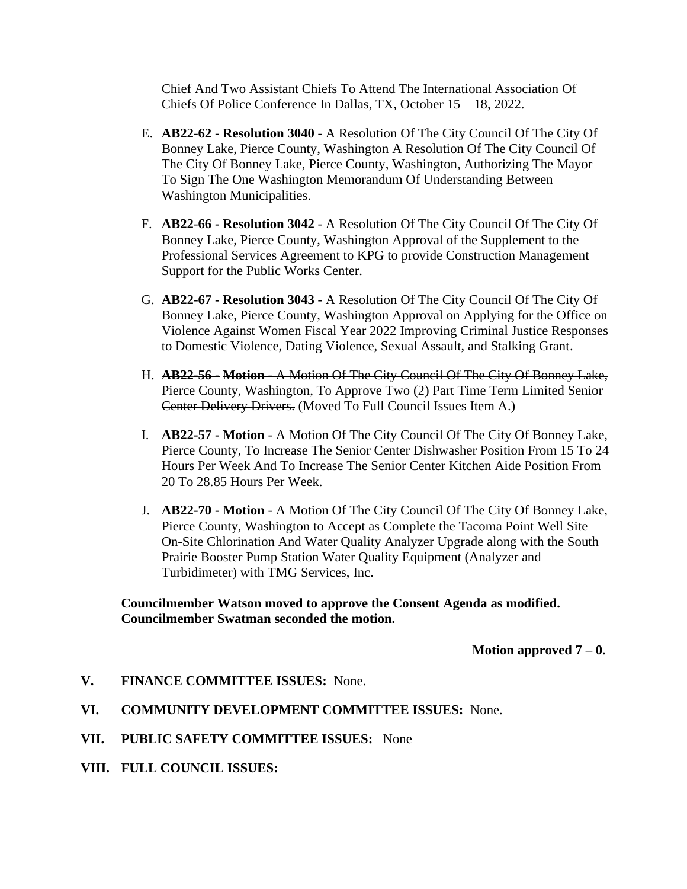Chief And Two Assistant Chiefs To Attend The International Association Of Chiefs Of Police Conference In Dallas, TX, October 15 – 18, 2022.

- E. **AB22**-**62 - Resolution 3040** A Resolution Of The City Council Of The City Of Bonney Lake, Pierce County, Washington A Resolution Of The City Council Of The City Of Bonney Lake, Pierce County, Washington, Authorizing The Mayor To Sign The One Washington Memorandum Of Understanding Between Washington Municipalities.
- F. **AB22**-**66 - Resolution 3042** A Resolution Of The City Council Of The City Of Bonney Lake, Pierce County, Washington Approval of the Supplement to the Professional Services Agreement to KPG to provide Construction Management Support for the Public Works Center.
- G. **AB22**-**67 - Resolution 3043** A Resolution Of The City Council Of The City Of Bonney Lake, Pierce County, Washington Approval on Applying for the Office on Violence Against Women Fiscal Year 2022 Improving Criminal Justice Responses to Domestic Violence, Dating Violence, Sexual Assault, and Stalking Grant.
- H. **AB22-56 - Motion** A Motion Of The City Council Of The City Of Bonney Lake, Pierce County, Washington, To Approve Two (2) Part Time Term Limited Senior Center Delivery Drivers. (Moved To Full Council Issues Item A.)
- I. **AB22-57 - Motion** A Motion Of The City Council Of The City Of Bonney Lake, Pierce County, To Increase The Senior Center Dishwasher Position From 15 To 24 Hours Per Week And To Increase The Senior Center Kitchen Aide Position From 20 To 28.85 Hours Per Week.
- J. **AB22-70 - Motion** A Motion Of The City Council Of The City Of Bonney Lake, Pierce County, Washington to Accept as Complete the Tacoma Point Well Site On-Site Chlorination And Water Quality Analyzer Upgrade along with the South Prairie Booster Pump Station Water Quality Equipment (Analyzer and Turbidimeter) with TMG Services, Inc.

### **Councilmember Watson moved to approve the Consent Agenda as modified. Councilmember Swatman seconded the motion.**

**Motion approved 7 – 0.**

- **V. FINANCE COMMITTEE ISSUES:** None.
- **VI. COMMUNITY DEVELOPMENT COMMITTEE ISSUES:** None.
- **VII. PUBLIC SAFETY COMMITTEE ISSUES:** None
- **VIII. FULL COUNCIL ISSUES:**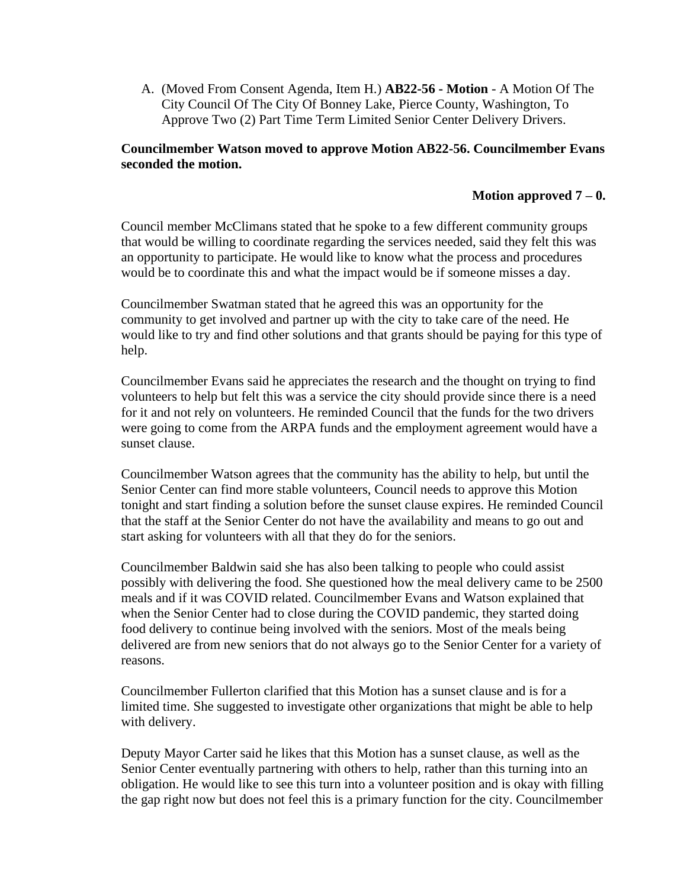A. (Moved From Consent Agenda, Item H.) **AB22-56 - Motion** - A Motion Of The City Council Of The City Of Bonney Lake, Pierce County, Washington, To Approve Two (2) Part Time Term Limited Senior Center Delivery Drivers.

## **Councilmember Watson moved to approve Motion AB22-56. Councilmember Evans seconded the motion.**

## **Motion approved 7 – 0.**

Council member McClimans stated that he spoke to a few different community groups that would be willing to coordinate regarding the services needed, said they felt this was an opportunity to participate. He would like to know what the process and procedures would be to coordinate this and what the impact would be if someone misses a day.

Councilmember Swatman stated that he agreed this was an opportunity for the community to get involved and partner up with the city to take care of the need. He would like to try and find other solutions and that grants should be paying for this type of help.

Councilmember Evans said he appreciates the research and the thought on trying to find volunteers to help but felt this was a service the city should provide since there is a need for it and not rely on volunteers. He reminded Council that the funds for the two drivers were going to come from the ARPA funds and the employment agreement would have a sunset clause.

Councilmember Watson agrees that the community has the ability to help, but until the Senior Center can find more stable volunteers, Council needs to approve this Motion tonight and start finding a solution before the sunset clause expires. He reminded Council that the staff at the Senior Center do not have the availability and means to go out and start asking for volunteers with all that they do for the seniors.

Councilmember Baldwin said she has also been talking to people who could assist possibly with delivering the food. She questioned how the meal delivery came to be 2500 meals and if it was COVID related. Councilmember Evans and Watson explained that when the Senior Center had to close during the COVID pandemic, they started doing food delivery to continue being involved with the seniors. Most of the meals being delivered are from new seniors that do not always go to the Senior Center for a variety of reasons.

Councilmember Fullerton clarified that this Motion has a sunset clause and is for a limited time. She suggested to investigate other organizations that might be able to help with delivery.

Deputy Mayor Carter said he likes that this Motion has a sunset clause, as well as the Senior Center eventually partnering with others to help, rather than this turning into an obligation. He would like to see this turn into a volunteer position and is okay with filling the gap right now but does not feel this is a primary function for the city. Councilmember